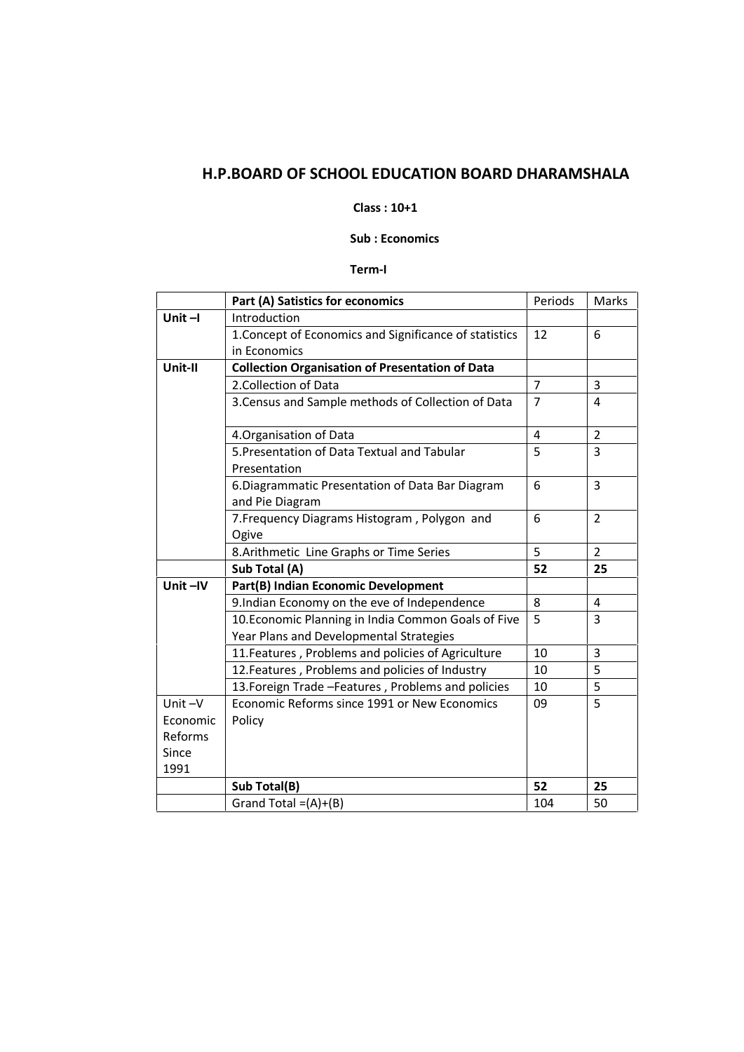# **H.P.BOARD OF SCHOOL EDUCATION BOARD DHARAMSHALA**

#### **Class : 10+1**

## **Sub : Economics**

## **Term-I**

|                          | Part (A) Satistics for economics                                                               | Periods        | Marks          |
|--------------------------|------------------------------------------------------------------------------------------------|----------------|----------------|
| Unit $-I$                | Introduction                                                                                   |                |                |
|                          | 1. Concept of Economics and Significance of statistics                                         | 12             | 6              |
|                          | in Economics                                                                                   |                |                |
| Unit-II                  | <b>Collection Organisation of Presentation of Data</b>                                         |                |                |
|                          | 2. Collection of Data                                                                          | $\overline{7}$ | 3              |
|                          | 3. Census and Sample methods of Collection of Data                                             | $\overline{7}$ | 4              |
|                          | 4. Organisation of Data                                                                        | $\overline{4}$ | $\overline{2}$ |
|                          | 5. Presentation of Data Textual and Tabular<br>Presentation                                    | 5              | 3              |
|                          | 6. Diagrammatic Presentation of Data Bar Diagram<br>and Pie Diagram                            | 6              | 3              |
|                          | 7. Frequency Diagrams Histogram, Polygon and<br>Ogive                                          | 6              | $\overline{2}$ |
|                          | 8. Arithmetic Line Graphs or Time Series                                                       | 5              | $\overline{2}$ |
|                          | Sub Total (A)                                                                                  | 52             | 25             |
| Unit-IV                  | Part(B) Indian Economic Development                                                            |                |                |
|                          | 9.Indian Economy on the eve of Independence                                                    | 8              | 4              |
|                          | 10. Economic Planning in India Common Goals of Five<br>Year Plans and Developmental Strategies | 5              | 3              |
|                          | 11. Features, Problems and policies of Agriculture                                             | 10             | 3              |
|                          | 12. Features, Problems and policies of Industry                                                | 10             | 5              |
|                          | 13. Foreign Trade - Features, Problems and policies                                            | 10             | 5              |
| Unit $-V$<br>Economic    | Economic Reforms since 1991 or New Economics<br>Policy                                         | 09             | 5              |
| Reforms<br>Since<br>1991 |                                                                                                |                |                |
|                          | Sub Total(B)                                                                                   | 52             | 25             |
|                          | Grand Total = $(A)+(B)$                                                                        | 104            | 50             |